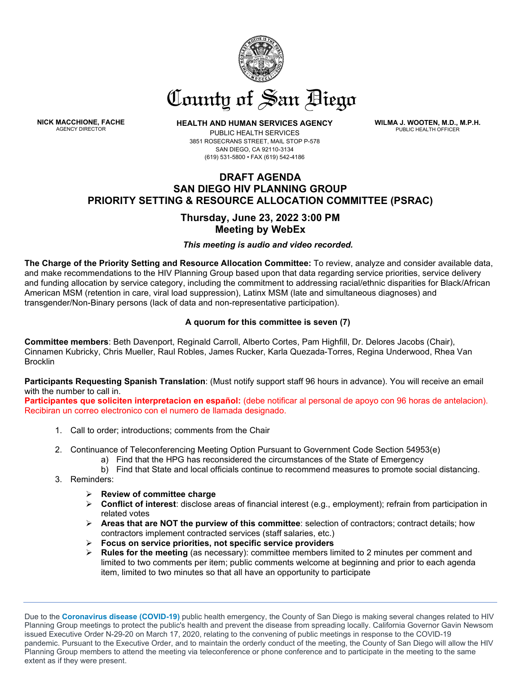

# County of San Biego

**NICK MACCHIONE, FACHE**<br>AGENCY DIRECTOR

**HEALTH AND HUMAN SERVICES AGENCY** 

PUBLIC HEALTH SERVICES 3851 ROSECRANS STREET, MAIL STOP P-578 SAN DIEGO, CA 92110-3134 (619) 531-5800 • FAX (619) 542-4186

**WILMA J. WOOTEN, M.D., M.P.H.** PUBLIC HEALTH OFFICER

## **DRAFT AGENDA SAN DIEGO HIV PLANNING GROUP PRIORITY SETTING & RESOURCE ALLOCATION COMMITTEE (PSRAC)**

# **Thursday, June 23, 2022 3:00 PM Meeting by WebEx**

## *This meeting is audio and video recorded.*

**The Charge of the Priority Setting and Resource Allocation Committee:** To review, analyze and consider available data, and make recommendations to the HIV Planning Group based upon that data regarding service priorities, service delivery and funding allocation by service category, including the commitment to addressing racial/ethnic disparities for Black/African American MSM (retention in care, viral load suppression), Latinx MSM (late and simultaneous diagnoses) and transgender/Non-Binary persons (lack of data and non-representative participation).

## **A quorum for this committee is seven (7)**

**Committee members**: Beth Davenport, Reginald Carroll, Alberto Cortes, Pam Highfill, Dr. Delores Jacobs (Chair), Cinnamen Kubricky, Chris Mueller, Raul Robles, James Rucker, Karla Quezada-Torres, Regina Underwood, Rhea Van **Brocklin** 

**Participants Requesting Spanish Translation**: (Must notify support staff 96 hours in advance). You will receive an email with the number to call in.

**Participantes que soliciten interpretacion en español:** (debe notificar al personal de apoyo con 96 horas de antelacion). Recibiran un correo electronico con el numero de llamada designado.

- 1. Call to order; introductions; comments from the Chair
- 2. Continuance of Teleconferencing Meeting Option Pursuant to Government Code Section 54953(e)
	- a) Find that the HPG has reconsidered the circumstances of the State of Emergency
	- b) Find that State and local officials continue to recommend measures to promote social distancing.
- 3. Reminders:
	- **Review of committee charge**
	- **Conflict of interest**: disclose areas of financial interest (e.g., employment); refrain from participation in related votes
	- **Areas that are NOT the purview of this committee**: selection of contractors; contract details; how contractors implement contracted services (staff salaries, etc.)
	- **Focus on service priorities, not specific service providers**
	- **Rules for the meeting** (as necessary): committee members limited to 2 minutes per comment and limited to two comments per item; public comments welcome at beginning and prior to each agenda item, limited to two minutes so that all have an opportunity to participate

Due to the **[Coronavirus disease \(COVID-19\)](https://lnks.gd/l/eyJhbGciOiJIUzI1NiJ9.eyJidWxsZXRpbl9saW5rX2lkIjoxMDAsInVyaSI6ImJwMjpjbGljayIsImJ1bGxldGluX2lkIjoiMjAyMDAzMjAuMTkwODM5ODEiLCJ1cmwiOiJodHRwczovL3d3dy5zYW5kaWVnb2NvdW50eS5nb3YvY29udGVudC9zZGMvaGhzYS9wcm9ncmFtcy9waHMvY29tbXVuaXR5X2VwaWRlbWlvbG9neS9kYy8yMDE5LW5Db1YuaHRtbCJ9.MAIYFl0mJXauJhSY5TYotqR7jZFy9naELo14WV37OiI/br/76430193372-l)** public health emergency, the County of San Diego is making several changes related to HIV Planning Group meetings to protect the public's health and prevent the disease from spreading locally. California Governor Gavin Newsom issued Executive Order N-29-20 on March 17, 2020, relating to the convening of public meetings in response to the COVID-19 pandemic. Pursuant to the Executive Order, and to maintain the orderly conduct of the meeting, the County of San Diego will allow the HIV Planning Group members to attend the meeting via teleconference or phone conference and to participate in the meeting to the same extent as if they were present.